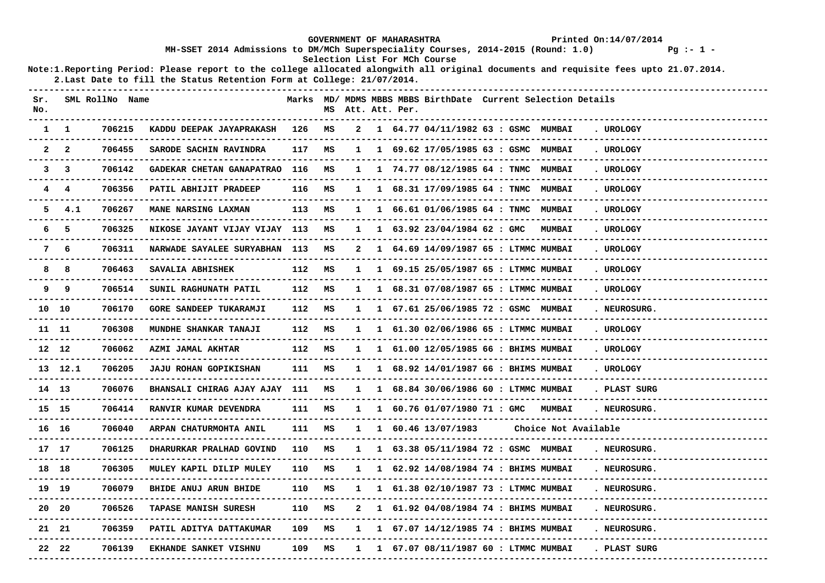|              |                  |                     |                                                                                                                                                                                                                 |        |    |              | <b>GOVERNMENT OF MAHARASHTRA</b> |                                                                  | Printed On:14/07/2014 |                            |  |                        |                        |
|--------------|------------------|---------------------|-----------------------------------------------------------------------------------------------------------------------------------------------------------------------------------------------------------------|--------|----|--------------|----------------------------------|------------------------------------------------------------------|-----------------------|----------------------------|--|------------------------|------------------------|
|              |                  |                     | MH-SSET 2014 Admissions to DM/MCh Superspeciality Courses, 2014-2015 (Round: 1.0)                                                                                                                               |        |    |              |                                  |                                                                  |                       |                            |  |                        | $Pg := 1 -$            |
|              |                  |                     | Note:1. Reporting Period: Please report to the college allocated alongwith all original documents and requisite fees upto 21.07.2014.<br>2. Last Date to fill the Status Retention Form at College: 21/07/2014. |        |    |              |                                  | Selection List For MCh Course                                    |                       |                            |  |                        |                        |
|              |                  |                     |                                                                                                                                                                                                                 |        |    |              |                                  |                                                                  |                       |                            |  |                        |                        |
| Sr.<br>No.   |                  | SML RollNo Name     |                                                                                                                                                                                                                 |        |    |              | MS Att. Att. Per.                | Marks MD/ MDMS MBBS MBBS BirthDate Current Selection Details     |                       | -------------------------- |  | -----------            |                        |
| $\mathbf{1}$ | $\mathbf{1}$     | 706215              | KADDU DEEPAK JAYAPRAKASH<br>----------------------------                                                                                                                                                        | 126    | MS | 2            |                                  | 1 64.77 04/11/1982 63 : GSMC MUMBAI                              |                       |                            |  | . UROLOGY              |                        |
| 2            | $\mathbf{2}$     | 706455              | SARODE SACHIN RAVINDRA                                                                                                                                                                                          | 117    | MS |              |                                  | 1 1 69.62 17/05/1985 63 : GSMC MUMBAI                            |                       |                            |  | . UROLOGY              |                        |
|              | $3 \quad 3$      | 706142              | GADEKAR CHETAN GANAPATRAO 116                                                                                                                                                                                   |        | MS |              |                                  | 1 1 74.77 08/12/1985 64 : TNMC MUMBAI                            |                       |                            |  | . UROLOGY              |                        |
|              | 4 4              | 706356              | PATIL ABHIJIT PRADEEP                                                                                                                                                                                           | 116    | MS |              |                                  | 1 1 68.31 17/09/1985 64 : TNMC MUMBAI                            |                       |                            |  | . UROLOGY              |                        |
|              | $5 \quad 4.1$    | 706267              | MANE NARSING LAXMAN                                                                                                                                                                                             | 113    | MS | $\mathbf{1}$ |                                  | 1    66.61    01/06/1985    64 : TNMC    MUMBAI                  |                       |                            |  | . UROLOGY              |                        |
|              | 6 5              | 706325              | NIKOSE JAYANT VIJAY VIJAY 113                                                                                                                                                                                   |        | MS |              |                                  | $1 \quad 1 \quad 63.92 \quad 23/04/1984 \quad 62 :$ GMC          |                       | <b>MUMBAI</b>              |  | . UROLOGY              | ---------------------- |
|              | 7 6              | 706311              | NARWADE SAYALEE SURYABHAN 113<br>-----------------------                                                                                                                                                        |        | MS | 2            |                                  | 1 64.69 14/09/1987 65 : LTMMC MUMBAI                             |                       |                            |  | . UROLOGY<br>--------- | -------------------    |
| 8            | 8                | 706463              | SAVALIA ABHISHEK                                                                                                                                                                                                | 112    | MS | $\mathbf{1}$ |                                  | 1 69.15 25/05/1987 65 : LTMMC MUMBAI                             |                       |                            |  | . UROLOGY              |                        |
| 9            | 9                | 706514              | SUNIL RAGHUNATH PATIL                                                                                                                                                                                           | 112    | MS |              |                                  | 1 1 68.31 07/08/1987 65 : LTMMC MUMBAI                           |                       |                            |  | . UROLOGY              |                        |
|              | 10 10            | 706170              | <b>GORE SANDEEP TUKARAMJI</b>                                                                                                                                                                                   | 112    | MS |              |                                  | 1 1 67.61 25/06/1985 72 : GSMC MUMBAI                            |                       |                            |  | . NEUROSURG.           |                        |
|              | 11 11<br>------- | 706308<br>--------- | MUNDHE SHANKAR TANAJI<br>---------------------------------                                                                                                                                                      | 112    | MS |              |                                  | 1 1 61.30 02/06/1986 65 : LTMMC MUMBAI                           |                       |                            |  | . UROLOGY              |                        |
|              | 12 12            | 706062              | <b>AZMI JAMAL AKHTAR</b>                                                                                                                                                                                        | 112    | MS |              |                                  | 1 1 61.00 12/05/1985 66 : BHIMS MUMBAI                           |                       |                            |  | . UROLOGY              |                        |
|              | 13 12.1          | 706205              | <b>JAJU ROHAN GOPIKISHAN</b>                                                                                                                                                                                    | 111    | MS |              |                                  | $1 \quad 1 \quad 68.92 \quad 14/01/1987 \quad 66$ : BHIMS MUMBAI |                       |                            |  | . UROLOGY              |                        |
|              | 14 13            | 706076              | BHANSALI CHIRAG AJAY AJAY 111                                                                                                                                                                                   |        | MS | $\mathbf{1}$ |                                  | 1 68.84 30/06/1986 60 : LTMMC MUMBAI                             |                       |                            |  | . PLAST SURG           |                        |
|              | 15 15            | 706414              | RANVIR KUMAR DEVENDRA                                                                                                                                                                                           | 111    | MS | $\mathbf{1}$ |                                  | 1 60.76 01/07/1980 71 : GMC MUMBAI                               |                       |                            |  | . NEUROSURG.           |                        |
|              | 16 16            | 706040              | ARPAN CHATURMOHTA ANIL                                                                                                                                                                                          | 111    | MS |              |                                  | 1 1 60.46 13/07/1983                                             |                       | Choice Not Available       |  |                        |                        |
|              | 17 17            | 706125              | DHARURKAR PRALHAD GOVIND                                                                                                                                                                                        | 110    | MS |              |                                  | 1 1 63.38 05/11/1984 72 : GSMC MUMBAI                            |                       |                            |  | . NEUROSURG.           |                        |
|              | 18 18            | 706305              | MULEY KAPIL DILIP MULEY                                                                                                                                                                                         | 110    | MS | 1            |                                  | 1 62.92 14/08/1984 74 : BHIMS MUMBAI                             |                       |                            |  | . NEUROSURG.           |                        |
|              | 19 19            | 706079              | BHIDE ANUJ ARUN BHIDE                                                                                                                                                                                           | 110 MS |    |              |                                  | 1 1 61.38 02/10/1987 73 : LTMMC MUMBAI                           |                       |                            |  | . NEUROSURG.           |                        |
|              | 20 20            | 706526              | <b>TAPASE MANISH SURESH</b>                                                                                                                                                                                     | 110    | MS | 2            |                                  | 1 61.92 04/08/1984 74 : BHIMS MUMBAI                             |                       |                            |  | . NEUROSURG.           |                        |
|              | 21 21            | 706359              | PATIL ADITYA DATTAKUMAR                                                                                                                                                                                         | 109    | MS |              |                                  | 1 1 67.07 $14/12/1985$ 74 : BHIMS MUMBAI                         |                       |                            |  | . NEUROSURG.           |                        |
|              | 22 22            | 706139              | <b>EKHANDE SANKET VISHNU</b>                                                                                                                                                                                    | 109    | MS | 1            |                                  | 1 67.07 08/11/1987 60 : LTMMC MUMBAI                             |                       |                            |  | . PLAST SURG           |                        |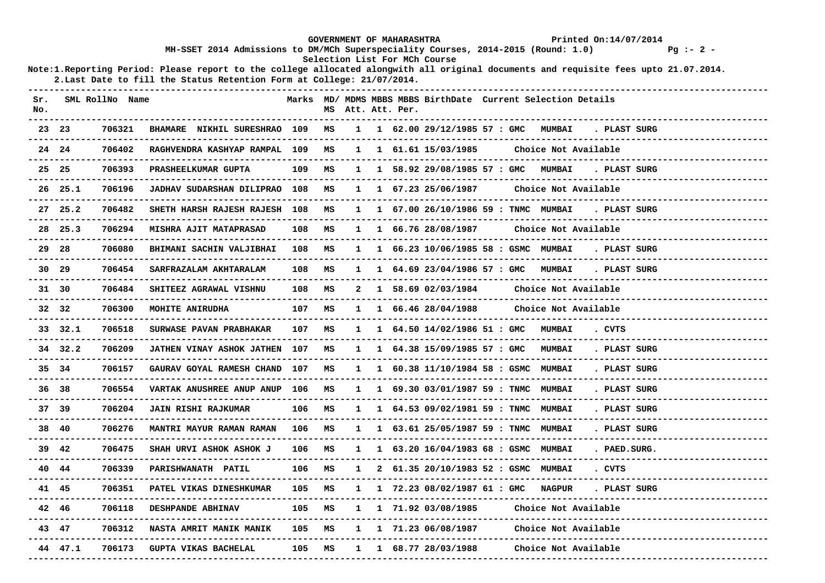|            |                  |                 |                                                                                                                                                                                                                 |        |    |   | <b>GOVERNMENT OF MAHARASHTRA</b> |                                                              |                 |                      | Printed On:14/07/2014                                          |                         |
|------------|------------------|-----------------|-----------------------------------------------------------------------------------------------------------------------------------------------------------------------------------------------------------------|--------|----|---|----------------------------------|--------------------------------------------------------------|-----------------|----------------------|----------------------------------------------------------------|-------------------------|
|            |                  |                 | MH-SSET 2014 Admissions to DM/MCh Superspeciality Courses, 2014-2015 (Round: 1.0)                                                                                                                               |        |    |   |                                  | Selection List For MCh Course                                |                 |                      |                                                                | $Pq := 2 -$             |
|            |                  |                 | Note:1. Reporting Period: Please report to the college allocated alongwith all original documents and requisite fees upto 21.07.2014.<br>2. Last Date to fill the Status Retention Form at College: 21/07/2014. |        |    |   |                                  |                                                              |                 |                      |                                                                |                         |
| Sr.<br>No. |                  | SML RollNo Name |                                                                                                                                                                                                                 |        |    |   | MS Att. Att. Per.                | Marks MD/ MDMS MBBS MBBS BirthDate Current Selection Details |                 |                      |                                                                |                         |
|            | 23 23            | 706321          | BHAMARE NIKHIL SURESHRAO 109                                                                                                                                                                                    |        | MS |   |                                  | 1 1 62.00 29/12/1985 57 : GMC MUMBAI                         |                 |                      | . PLAST SURG                                                   |                         |
|            | 24 24            | 706402          | RAGHVENDRA KASHYAP RAMPAL 109                                                                                                                                                                                   |        | MS |   |                                  | 1 1 61.61 15/03/1985                                         |                 | Choice Not Available |                                                                | ----------------------  |
|            | 25 25            | 706393          | PRASHEELKUMAR GUPTA                                                                                                                                                                                             | 109    | MS |   |                                  | 1 1 58.92 29/08/1985 57 : GMC MUMBAI                         |                 |                      | . PLAST SURG                                                   |                         |
|            | $26$ $25.1$      | 706196          | <b>JADHAV SUDARSHAN DILIPRAO 108</b><br>--------------------------------                                                                                                                                        |        | MS |   |                                  | 1 1 67.23 25/06/1987                                         |                 | Choice Not Available |                                                                |                         |
|            | 27 25.2          | 706482          | SHETH HARSH RAJESH RAJESH 108                                                                                                                                                                                   |        | MS |   |                                  | 1  1  67.00  26/10/1986  59 : TNMC  MUMBAI                   |                 |                      | . PLAST SURG                                                   |                         |
|            | $28$ $25.3$      | 706294          | <b>MISHRA AJIT MATAPRASAD</b>                                                                                                                                                                                   | 108    | MS |   |                                  | 1 1 66.76 28/08/1987                                         |                 | Choice Not Available |                                                                |                         |
|            | 29 28<br>------- | 706080          | BHIMANI SACHIN VALJIBHAI                                                                                                                                                                                        | 108    | MS |   |                                  | 1 1 66.23 10/06/1985 58 : GSMC MUMBAI                        |                 |                      | . PLAST SURG                                                   | ----------------------- |
|            | 30 29            | 706454          | SARFRAZALAM AKHTARALAM                                                                                                                                                                                          | 108    | MS |   |                                  | 1 1 64.69 23/04/1986 57 : GMC MUMBAI                         |                 |                      | . PLAST SURG                                                   |                         |
|            | 31 30            | 706484          | SHITEEZ AGRAWAL VISHNU                                                                                                                                                                                          | 108    | MS |   |                                  | 2 1 58.69 02/03/1984                                         |                 | Choice Not Available |                                                                |                         |
|            | 32 32            | 706300          | <b>MOHITE ANIRUDHA</b>                                                                                                                                                                                          | 107    | MS |   |                                  | $1 \quad 1 \quad 66.46 \quad 28/04/1988$                     |                 | Choice Not Available |                                                                |                         |
|            | 33 32.1          | 706518          | SURWASE PAVAN PRABHAKAR                                                                                                                                                                                         | 107    | MS |   |                                  | 1 1 64.50 14/02/1986 51 : GMC MUMBAI                         |                 |                      | . CVTS                                                         |                         |
|            | 34 32.2          | 706209          | JATHEN VINAY ASHOK JATHEN                                                                                                                                                                                       | 107    | MS |   |                                  | 1 1 64.38 15/09/1985 57 : GMC                                |                 | <b>MUMBAI</b>        | . PLAST SURG                                                   | -------------------     |
|            | 35 34            | 706157          | GAURAV GOYAL RAMESH CHAND 107                                                                                                                                                                                   |        | MS |   |                                  | 1 1 60.38 11/10/1984 58 : GSMC MUMBAI                        |                 |                      | . PLAST SURG                                                   |                         |
|            | 36 38            | 706554          | VARTAK ANUSHREE ANUP ANUP 106<br>---------------------------------                                                                                                                                              |        | MS |   |                                  | 1 1 69.30 03/01/1987 59 : TNMC MUMBAI                        |                 |                      | . PLAST SURG                                                   | -------------------     |
|            | 37 39            | 706204          | <b>JAIN RISHI RAJKUMAR</b>                                                                                                                                                                                      | 106    | MS |   |                                  | 1 1 64.53 09/02/1981 59 : TNMC MUMBAI                        |                 |                      | . PLAST SURG                                                   |                         |
|            | 38 40            | 706276          | <b>MANTRI MAYUR RAMAN RAMAN</b>                                                                                                                                                                                 | 106    | MS |   |                                  | 1 1 63.61 25/05/1987 59 : TNMC MUMBAI                        |                 |                      | . PLAST SURG                                                   |                         |
|            | 39 42            | 706475          | SHAH URVI ASHOK ASHOK J                                                                                                                                                                                         | 106    | MS |   |                                  | 1 1 63.20 16/04/1983 68 : GSMC MUMBAI                        |                 |                      | . PAED. SURG.                                                  |                         |
|            | 40 44            | 706339          | PARISHWANATH PATIL                                                                                                                                                                                              | 106    | MS | 1 |                                  | 2 61.35 20/10/1983 52 : GSMC MUMBAI                          |                 |                      | . CVTS                                                         |                         |
|            | 41 45            | 706351          | <b>PATEL VIKAS DINESHKUMAR</b><br>--------------------                                                                                                                                                          |        |    |   |                                  |                                                              |                 |                      | 105 MS  1  1  72.23 08/02/1987  61 : GMC  NAGPUR  . PLAST SURG |                         |
|            | 42 46            | 706118          | <b>DESHPANDE ABHINAV</b>                                                                                                                                                                                        |        |    |   |                                  | 105 MS  1  1  71.92  03/08/1985                              |                 | Choice Not Available |                                                                |                         |
|            | 43 47            | 706312          | NASTA AMRIT MANIK MANIK 105 MS 1 171.23 06/08/1987                                                                                                                                                              |        |    |   |                                  |                                                              |                 | Choice Not Available |                                                                |                         |
|            | 44 47.1          | 706173          | GUPTA VIKAS BACHELAL                                                                                                                                                                                            | 105 MS |    |   |                                  | 1 1 68.77 28/03/1988                                         | --------------- | Choice Not Available |                                                                |                         |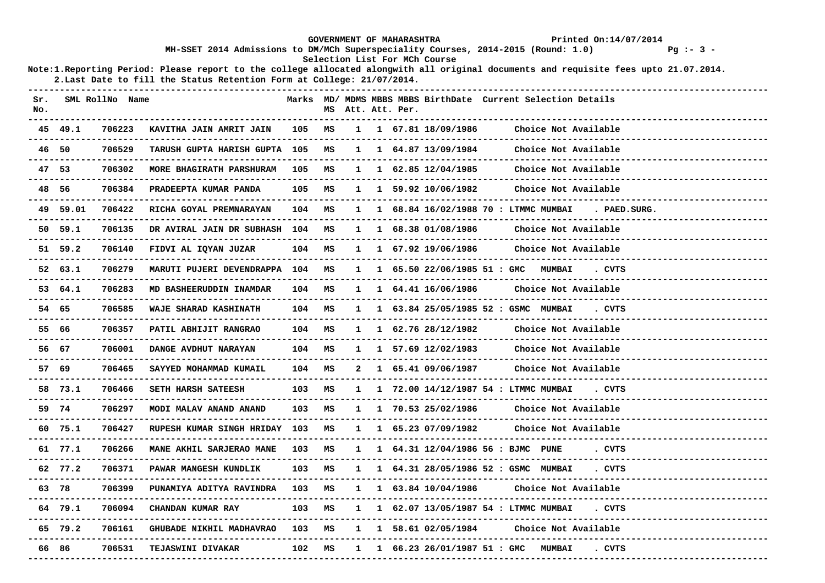|            |          |                     |                                                                                   |        |    |   | <b>GOVERNMENT OF MAHARASHTRA</b> |                               | Printed On:14/07/2014                                                                                                                 |
|------------|----------|---------------------|-----------------------------------------------------------------------------------|--------|----|---|----------------------------------|-------------------------------|---------------------------------------------------------------------------------------------------------------------------------------|
|            |          |                     | MH-SSET 2014 Admissions to DM/MCh Superspeciality Courses, 2014-2015 (Round: 1.0) |        |    |   |                                  | Selection List For MCh Course | $Pq := 3 -$                                                                                                                           |
|            |          |                     | 2. Last Date to fill the Status Retention Form at College: 21/07/2014.            |        |    |   |                                  |                               | Note:1. Reporting Period: Please report to the college allocated alongwith all original documents and requisite fees upto 21.07.2014. |
| Sr.<br>No. |          | SML RollNo Name     |                                                                                   |        |    |   | MS Att. Att. Per.                |                               | Marks MD/ MDMS MBBS MBBS BirthDate Current Selection Details                                                                          |
|            | 45 49.1  | 706223              | KAVITHA JAIN AMRIT JAIN                                                           | 105    | MS |   |                                  | 1 1 67.81 18/09/1986          | Choice Not Available                                                                                                                  |
|            | 46 50    | 706529              | TARUSH GUPTA HARISH GUPTA 105                                                     |        | MS |   |                                  | 1 1 64.87 13/09/1984          | Choice Not Available<br>--------------------------                                                                                    |
|            | 47 53    | 706302              | MORE BHAGIRATH PARSHURAM 105 MS<br>-----------------------------                  |        |    |   | _________________________        | 1 1 62.85 12/04/1985          | Choice Not Available                                                                                                                  |
|            | 48 56    | 706384              | PRADEEPTA KUMAR PANDA                                                             | 105    | MS |   |                                  | 1 1 59.92 10/06/1982          | Choice Not Available<br>-----------------------------                                                                                 |
|            | 49 59.01 | 706422              | RICHA GOYAL PREMNARAYAN                                                           | 104 MS |    |   |                                  |                               | 1 1 68.84 16/02/1988 70 : LTMMC MUMBAI . PAED.SURG.                                                                                   |
|            | 50 59.1  | 706135              | DR AVIRAL JAIN DR SUBHASH 104 MS                                                  |        |    |   |                                  | 1 1 68.38 01/08/1986          | Choice Not Available                                                                                                                  |
|            | 51 59.2  | 706140              | FIDVI AL IQYAN JUZAR                                                              | 104 MS |    |   |                                  | 1 1 67.92 19/06/1986          | Choice Not Available                                                                                                                  |
|            | 52 63.1  | 706279              | MARUTI PUJERI DEVENDRAPPA 104 MS                                                  |        |    |   |                                  |                               | 1 1 65.50 22/06/1985 51 : GMC MUMBAI<br>. CVTS                                                                                        |
|            | 53 64.1  | 706283              | MD BASHEERUDDIN INAMDAR                                                           | 104 MS |    |   |                                  | 1 1 64.41 16/06/1986          | Choice Not Available<br>--------------------------                                                                                    |
|            | 54 65    | 706585              | WAJE SHARAD KASHINATH                                                             | 104 MS |    |   |                                  |                               | 1 1 63.84 25/05/1985 52 : GSMC MUMBAI<br>. CVTS                                                                                       |
|            | 55 66    | 706357              | PATIL ABHIJIT RANGRAO                                                             | 104 MS |    |   |                                  | 1 1 62.76 28/12/1982          | Choice Not Available<br>---------------------                                                                                         |
|            | 56 67    | 706001              | DANGE AVDHUT NARAYAN                                                              | 104    | MS |   |                                  | 1 1 57.69 12/02/1983          | Choice Not Available                                                                                                                  |
|            | 57 69    | 706465              | SAYYED MOHAMMAD KUMAIL                                                            | 104 MS |    |   |                                  | 2 1 65.41 09/06/1987          | Choice Not Available                                                                                                                  |
|            | 58 73.1  | 706466              | SETH HARSH SATEESH                                                                | 103    | MS |   |                                  |                               | 1 1 72.00 14/12/1987 54 : LTMMC MUMBAI<br>. CVTS                                                                                      |
|            | 59 74    | 706297              | MODI MALAV ANAND ANAND                                                            | 103 MS |    |   |                                  | 1 1 70.53 25/02/1986          | Choice Not Available<br>---------------------------                                                                                   |
|            | 60 75.1  | 706427              | RUPESH KUMAR SINGH HRIDAY 103                                                     |        | MS |   |                                  | 1 1 65.23 07/09/1982          | Choice Not Available                                                                                                                  |
|            | 61 77.1  | 706266              | MANE AKHIL SARJERAO MANE                                                          | 103    | MS |   |                                  |                               | 1 1 64.31 12/04/1986 56 : BJMC PUNE<br>. CVTS                                                                                         |
|            | 62 77.2  | 706371              | PAWAR MANGESH KUNDLIK                                                             | 103    | MS | 1 |                                  |                               | 1 64.31 28/05/1986 52 : GSMC MUMBAI<br>. CVTS                                                                                         |
|            | 63 78    | 706399              | PUNAMIYA ADITYA RAVINDRA 103 MS 1 1 63.84 10/04/1986<br>------------------------  |        |    |   |                                  |                               | Choice Not Available<br>- - - - - - - - - - -                                                                                         |
|            | 64 79.1  | 706094              | CHANDAN KUMAR RAY                                                                 |        |    |   |                                  |                               | 103 MS  1  1  62.07 13/05/1987 54 : LTMMC MUMBAI . CVTS                                                                               |
|            | 65 79.2  | 706161<br>--------- | GHUBADE NIKHIL MADHAVRAO 103 MS                                                   |        |    |   |                                  | 1 1 58.61 02/05/1984          | Choice Not Available                                                                                                                  |
|            | 66 86    | 706531              | <b>TEJASWINI DIVAKAR</b><br>-------------------------------------                 | 102 MS |    |   |                                  |                               | 1 1 66.23 26/01/1987 51 : GMC MUMBAI<br>. CVTS                                                                                        |
|            |          |                     |                                                                                   |        |    |   |                                  |                               |                                                                                                                                       |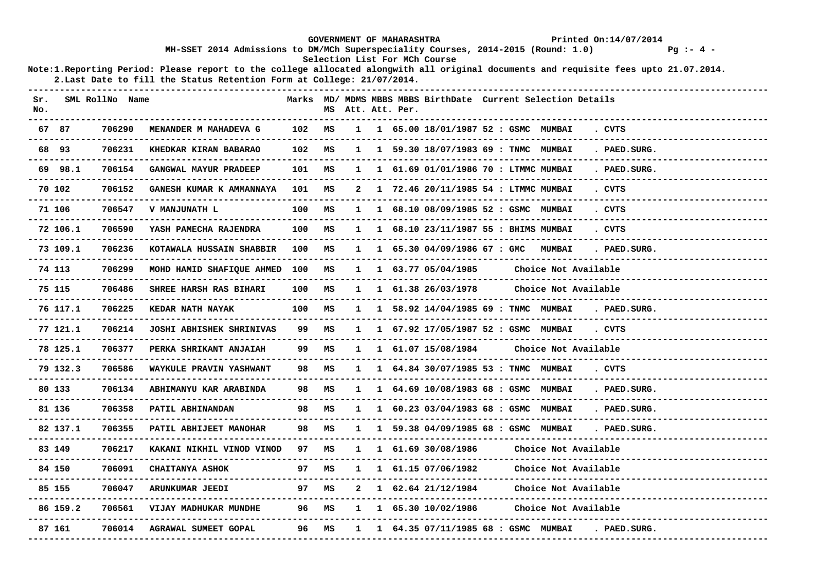|        |                        |                     |                                                                                                                                      |     |    |              | <b>GOVERNMENT OF MAHARASHTRA</b> |                               |                                                              |                                                | Printed On:14/07/2014 |             |
|--------|------------------------|---------------------|--------------------------------------------------------------------------------------------------------------------------------------|-----|----|--------------|----------------------------------|-------------------------------|--------------------------------------------------------------|------------------------------------------------|-----------------------|-------------|
|        |                        |                     | MH-SSET 2014 Admissions to DM/MCh Superspeciality Courses, 2014-2015 (Round: 1.0)                                                    |     |    |              |                                  | Selection List For MCh Course |                                                              |                                                |                       | $Pq := 4 -$ |
|        |                        |                     | Note:1.Reporting Period: Please report to the college allocated alongwith all original documents and requisite fees upto 21.07.2014. |     |    |              |                                  |                               |                                                              |                                                |                       |             |
|        |                        |                     | 2. Last Date to fill the Status Retention Form at College: 21/07/2014.                                                               |     |    |              |                                  |                               |                                                              |                                                |                       |             |
| Sr.    |                        | SML RollNo Name     |                                                                                                                                      |     |    |              |                                  |                               | Marks MD/ MDMS MBBS MBBS BirthDate Current Selection Details |                                                |                       |             |
| No.    |                        |                     |                                                                                                                                      |     |    |              | MS Att. Att. Per.                |                               | --------------                                               |                                                |                       |             |
| 67 87  |                        | 706290              | MENANDER M MAHADEVA G                                                                                                                | 102 | MS | $\mathbf{1}$ |                                  |                               | 1 65.00 18/01/1987 52 : GSMC MUMBAI                          |                                                | . CVTS                |             |
| 68 93  |                        | 706231              | KHEDKAR KIRAN BABARAO                                                                                                                | 102 | MS |              |                                  |                               | 1 59.30 18/07/1983 69 : TNMC MUMBAI                          |                                                | . PAED. SURG.         |             |
|        | 69 98.1                | 706154              | GANGWAL MAYUR PRADEEP                                                                                                                | 101 | MS |              |                                  |                               | 1 61.69 01/01/1986 70 : LTMMC MUMBAI                         |                                                | . PAED.SURG.          |             |
| 70 102 |                        | 706152              | GANESH KUMAR K AMMANNAYA                                                                                                             | 101 | MS |              |                                  |                               | 1 72.46 20/11/1985 54 : LTMMC MUMBAI                         |                                                | . CVTS                |             |
|        | 71 106                 | 706547              | V MANJUNATH L                                                                                                                        | 100 | MS | 1            |                                  |                               | 1 68.10 08/09/1985 52 : GSMC MUMBAI                          |                                                | . CVTS                |             |
|        | 72 106.1               | 706590              | YASH PAMECHA RAJENDRA                                                                                                                | 100 | MS | $\mathbf{1}$ |                                  |                               | 1 68.10 23/11/1987 55 : BHIMS MUMBAI                         |                                                | . CVTS                |             |
|        | 73 109.1               | 706236              | KOTAWALA HUSSAIN SHABBIR                                                                                                             | 100 | MS | $\mathbf{1}$ |                                  | 1 65.30 04/09/1986 67 : GMC   |                                                              | <b>MUMBAI</b>                                  | . PAED. SURG.         |             |
|        | 74 113                 | 706299              | MOHD HAMID SHAFIQUE AHMED                                                                                                            | 100 | MS | 1            |                                  | 1 63.77 05/04/1985            |                                                              | Choice Not Available<br>______________________ |                       |             |
| 75 115 |                        | 706486              | SHREE HARSH RAS BIHARI                                                                                                               | 100 | MS | $\mathbf{1}$ |                                  | 1 61.38 26/03/1978            |                                                              | Choice Not Available                           |                       |             |
|        | 76 117.1               | 706225<br>------    | KEDAR NATH NAYAK                                                                                                                     | 100 | MS | 1            |                                  |                               | 1 58.92 14/04/1985 69 : TNMC MUMBAI                          |                                                | . PAED. SURG.         |             |
|        | 77 121.1               | 706214              | <b>JOSHI ABHISHEK SHRINIVAS</b>                                                                                                      | 99  | MS | $\mathbf{1}$ |                                  |                               | 1 67.92 17/05/1987 52 : GSMC MUMBAI                          |                                                | . CVTS                |             |
|        | 78 125.1<br>---------- | 706377<br>--------- | PERKA SHRIKANT ANJAIAH<br><u>u dia dia dia dia dala dia dia dia k</u>                                                                | 99. | MS |              |                                  | 1 1 61.07 15/08/1984          |                                                              | Choice Not Available                           |                       |             |
|        | 79 132.3<br>---------- | 706586              | WAYKULE PRAVIN YASHWANT<br>------------------                                                                                        | 98  | MS |              |                                  |                               | 1 1 64.84 30/07/1985 53 : TNMC MUMBAI                        |                                                | . CVTS                |             |
| 80 133 |                        | 706134              | ABHIMANYU KAR ARABINDA                                                                                                               | 98  | MS | $\mathbf{1}$ |                                  |                               | 1 64.69 10/08/1983 68 : GSMC MUMBAI                          |                                                | . PAED. SURG.         |             |
| 81 136 |                        | 706358              | PATIL ABHINANDAN                                                                                                                     | 98  | МS |              |                                  |                               | 1 60.23 03/04/1983 68 : GSMC MUMBAI                          |                                                | . PAED. SURG.         |             |
|        | 82 137.1               | 706355              | PATIL ABHIJEET MANOHAR                                                                                                               | 98  | MS |              |                                  |                               | 1 59.38 04/09/1985 68 : GSMC MUMBAI                          |                                                | . PAED. SURG.         |             |
| 83 149 |                        | 706217              | KAKANI NIKHIL VINOD VINOD                                                                                                            | 97  | MS |              |                                  | 1 61.69 30/08/1986            |                                                              | Choice Not Available                           |                       |             |
| 84 150 |                        | 706091              | CHAITANYA ASHOK                                                                                                                      | 97  | MS | $\mathbf{1}$ |                                  | 1 61.15 07/06/1982            |                                                              | Choice Not Available                           |                       |             |
| 85 155 |                        | 706047              | ARUNKUMAR JEEDI                                                                                                                      | 97  | MS |              |                                  | 1 62.64 21/12/1984            |                                                              | Choice Not Available                           |                       |             |
|        | 86 159.2               | 706561              | VIJAY MADHUKAR MUNDHE                                                                                                                | 96  | MS | $\mathbf{1}$ |                                  | 1 65.30 10/02/1986            |                                                              | Choice Not Available                           |                       |             |
| 87 161 |                        | 706014              | AGRAWAL SUMEET GOPAL                                                                                                                 | 96  | MS | $\mathbf{1}$ |                                  |                               | 1 64.35 07/11/1985 68 : GSMC MUMBAI                          |                                                | . PAED. SURG.         |             |
|        |                        |                     |                                                                                                                                      |     |    |              |                                  |                               |                                                              |                                                |                       |             |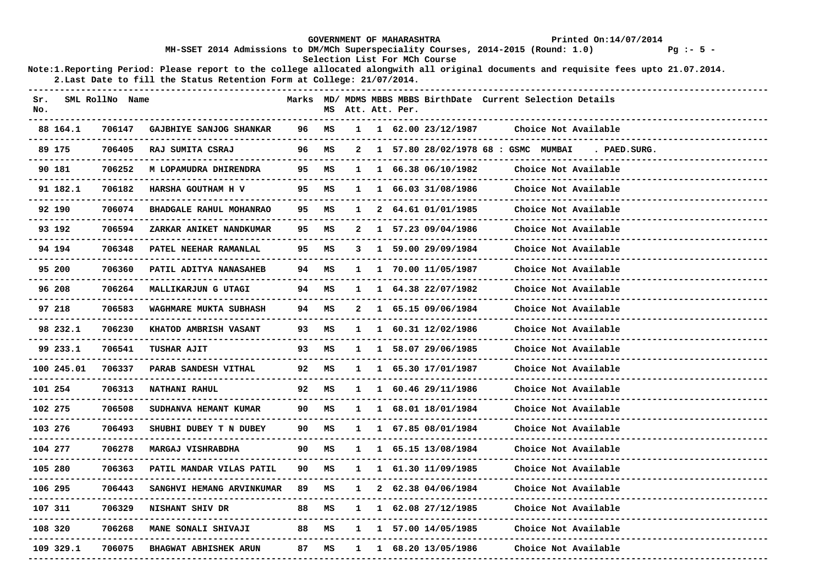|            |                     |                                                                                                                                                                                                                |                             |        |              | GOVERNMENT OF MAHARASHTRA |                                          |                                                              | Printed On:14/07/2014 |                          |
|------------|---------------------|----------------------------------------------------------------------------------------------------------------------------------------------------------------------------------------------------------------|-----------------------------|--------|--------------|---------------------------|------------------------------------------|--------------------------------------------------------------|-----------------------|--------------------------|
|            |                     | MH-SSET 2014 Admissions to DM/MCh Superspeciality Courses, 2014-2015 (Round: 1.0)                                                                                                                              |                             |        |              |                           | Selection List For MCh Course            |                                                              |                       | $Pq := 5 -$              |
|            |                     | Note:1.Reporting Period: Please report to the college allocated alongwith all original documents and requisite fees upto 21.07.2014.<br>2. Last Date to fill the Status Retention Form at College: 21/07/2014. |                             |        |              |                           |                                          |                                                              |                       |                          |
| Sr.<br>No. | SML RollNo Name     |                                                                                                                                                                                                                |                             |        |              | MS Att. Att. Per.         |                                          | Marks MD/ MDMS MBBS MBBS BirthDate Current Selection Details |                       |                          |
| 88 164.1   | 706147              | GAJBHIYE SANJOG SHANKAR                                                                                                                                                                                        | 96                          | MS     | $\mathbf{1}$ |                           | 1 62.00 23/12/1987                       |                                                              | Choice Not Available  |                          |
| 89 175     | 706405              | RAJ SUMITA CSRAJ                                                                                                                                                                                               | 96                          | MS     | 2            |                           |                                          | 1 57.80 28/02/1978 68 : GSMC MUMBAI                          | . PAED.SURG.          |                          |
| 90 181     | 706252              | M LOPAMUDRA DHIRENDRA                                                                                                                                                                                          | 95 M.S                      |        |              |                           | $1 \quad 1 \quad 66.38 \quad 06/10/1982$ |                                                              | Choice Not Available  |                          |
| 91 182.1   | 706182              | HARSHA GOUTHAM H V                                                                                                                                                                                             | 95                          | MS     | $\mathbf{1}$ |                           | 1 66.03 31/08/1986                       |                                                              | Choice Not Available  | ----------------------   |
| 92 190     | 706074              | BHADGALE RAHUL MOHANRAO                                                                                                                                                                                        | 95                          | MS     | 1            |                           | 2 64.61 01/01/1985                       |                                                              | Choice Not Available  |                          |
| 93 192     | 706594              | ZARKAR ANIKET NANDKUMAR                                                                                                                                                                                        | 95                          | MS     |              |                           | 2 1 57.23 09/04/1986                     |                                                              | Choice Not Available  |                          |
| 94 194     | 706348              | PATEL NEEHAR RAMANLAL                                                                                                                                                                                          | 95                          | MS     | 3            |                           | 1 59.00 29/09/1984                       |                                                              | Choice Not Available  | ---------------------    |
| 95 200     | 706360              | <b>PATIL ADITYA NANASAHEB</b>                                                                                                                                                                                  | 94                          | MS     | 1            |                           | 1 70.00 11/05/1987                       |                                                              | Choice Not Available  |                          |
| 96 208     | 706264              | <b>MALLIKARJUN G UTAGI</b>                                                                                                                                                                                     | 94 MS                       |        | $\mathbf{1}$ |                           | 1 64.38 22/07/1982                       |                                                              | Choice Not Available  |                          |
| 97 218     | 706583              | WAGHMARE MUKTA SUBHASH                                                                                                                                                                                         | 94 M.S                      |        | 2            |                           | 1 65.15 09/06/1984                       |                                                              | Choice Not Available  |                          |
| 98 232.1   | 706230              | <b>KHATOD AMBRISH VASANT</b>                                                                                                                                                                                   | 93                          | ΜS     | $\mathbf{1}$ |                           | 1 60.31 12/02/1986                       |                                                              | Choice Not Available  |                          |
| 99 233.1   | 706541              | TUSHAR AJIT                                                                                                                                                                                                    | 93                          | MS     | 1            |                           | 1 58.07 29/06/1985                       |                                                              | Choice Not Available  | ------------------------ |
| 100 245.01 | 706337              | PARAB SANDESH VITHAL                                                                                                                                                                                           | 92                          | MS     |              |                           | 1 1 65.30 17/01/1987                     |                                                              | Choice Not Available  | --------------------     |
| 101 254    | 706313<br>--------- | NATHANI RAHUL                                                                                                                                                                                                  | 92                          | MS     | $\mathbf{1}$ |                           | 1 60.46 29/11/1986                       |                                                              | Choice Not Available  |                          |
| 102 275    | 706508              | SUDHANVA HEMANT KUMAR                                                                                                                                                                                          | 90                          | MS     | $\mathbf{1}$ |                           | 1 68.01 18/01/1984                       |                                                              | Choice Not Available  |                          |
| 103 276    | 706493              | SHUBHI DUBEY T N DUBEY                                                                                                                                                                                         | 90 —                        | MS     |              |                           | 1 1 67.85 08/01/1984                     |                                                              | Choice Not Available  |                          |
| 104 277    | 706278              | MARGAJ VISHRABDHA                                                                                                                                                                                              | 90                          | MS     | $\mathbf{1}$ |                           | 1 65.15 13/08/1984                       |                                                              | Choice Not Available  |                          |
| 105 280    | 706363              | PATIL MANDAR VILAS PATIL                                                                                                                                                                                       | 90                          | MS     | 1            |                           | 1 61.30 11/09/1985                       |                                                              | Choice Not Available  |                          |
| 106 295    | 706443              | SANGHVI HEMANG ARVINKUMAR 89 MS                                                                                                                                                                                | . - - - - - - - - - - - - - |        |              |                           | $1 \quad 2 \quad 62.38 \quad 04/06/1984$ |                                                              | Choice Not Available  |                          |
| 107 311    | 706329              | NISHANT SHIV DR<br>. _ _ _ _ _ _ _ _ _ _ _ _ _ _ _ _                                                                                                                                                           | 88 MS                       |        |              |                           | $1 \quad 1 \quad 62.08 \quad 27/12/1985$ |                                                              | Choice Not Available  |                          |
| 108 320    | 706268              | <b>MANE SONALI SHIVAJI</b>                                                                                                                                                                                     |                             | 88 M.S |              |                           | 1 1 57.00 14/05/1985                     |                                                              | Choice Not Available  |                          |
| 109 329.1  | 706075              | <b>BHAGWAT ABHISHEK ARUN</b><br>---------------------------                                                                                                                                                    | 87 MS                       |        | 1            |                           | 1 68.20 13/05/1986                       |                                                              | Choice Not Available  |                          |